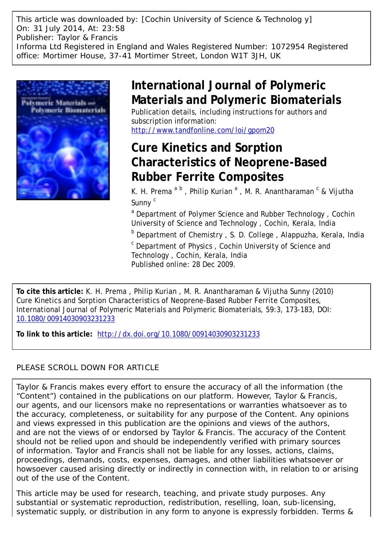This article was downloaded by: [Cochin University of Science & Technolog y] On: 31 July 2014, At: 23:58 Publisher: Taylor & Francis Informa Ltd Registered in England and Wales Registered Number: 1072954 Registered office: Mortimer House, 37-41 Mortimer Street, London W1T 3JH, UK



# **International Journal of Polymeric Materials and Polymeric Biomaterials**

Publication details, including instructions for authors and subscription information:

<http://www.tandfonline.com/loi/gpom20>

## **Cure Kinetics and Sorption Characteristics of Neoprene-Based Rubber Ferrite Composites**

K. H. Prema<sup>ab</sup>, Philip Kurian<sup>a</sup>, M. R. Anantharaman<sup>c</sup> & Vijutha Sunny<sup>c</sup>

<sup>a</sup> Department of Polymer Science and Rubber Technology, Cochin University of Science and Technology , Cochin, Kerala, India

<sup>b</sup> Department of Chemistry, S. D. College, Alappuzha, Kerala, India

<sup>c</sup> Department of Physics, Cochin University of Science and Technology , Cochin, Kerala, India Published online: 28 Dec 2009.

**To cite this article:** K. H. Prema , Philip Kurian , M. R. Anantharaman & Vijutha Sunny (2010) Cure Kinetics and Sorption Characteristics of Neoprene-Based Rubber Ferrite Composites, International Journal of Polymeric Materials and Polymeric Biomaterials, 59:3, 173-183, DOI: [10.1080/00914030903231233](http://www.tandfonline.com/action/showCitFormats?doi=10.1080/00914030903231233)

**To link to this article:** <http://dx.doi.org/10.1080/00914030903231233>

### PLEASE SCROLL DOWN FOR ARTICLE

Taylor & Francis makes every effort to ensure the accuracy of all the information (the "Content") contained in the publications on our platform. However, Taylor & Francis, our agents, and our licensors make no representations or warranties whatsoever as to the accuracy, completeness, or suitability for any purpose of the Content. Any opinions and views expressed in this publication are the opinions and views of the authors, and are not the views of or endorsed by Taylor & Francis. The accuracy of the Content should not be relied upon and should be independently verified with primary sources of information. Taylor and Francis shall not be liable for any losses, actions, claims, proceedings, demands, costs, expenses, damages, and other liabilities whatsoever or howsoever caused arising directly or indirectly in connection with, in relation to or arising out of the use of the Content.

This article may be used for research, teaching, and private study purposes. Any substantial or systematic reproduction, redistribution, reselling, loan, sub-licensing, systematic supply, or distribution in any form to anyone is expressly forbidden. Terms &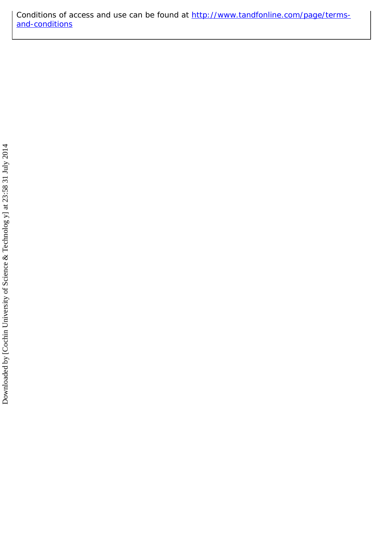Conditions of access and use can be found at [http://www.tandfonline.com/page/terms](http://www.tandfonline.com/page/terms-and-conditions)[and-conditions](http://www.tandfonline.com/page/terms-and-conditions)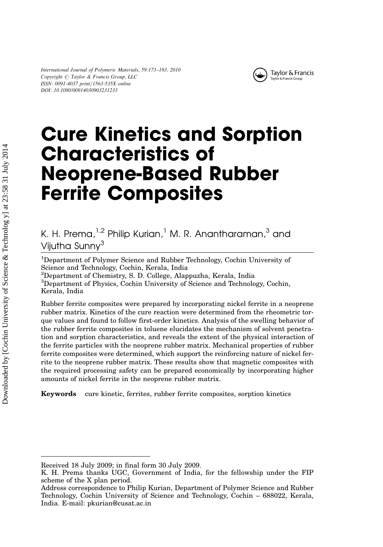

# Cure Kinetics and Sorption Characteristics of Neoprene-Based Rubber Ferrite Composites

## K. H. Prema,  $1.2$  Philip Kurian,  $1 \text{ M}$ . R. Anantharaman,  $3 \text{ and } 1$ Vijutha Sunny<sup>3</sup>

<sup>1</sup>Department of Polymer Science and Rubber Technology, Cochin University of Science and Technology, Cochin, Kerala, India

2 Department of Chemistry, S. D. College, Alappuzha, Kerala, India

<sup>3</sup>Department of Physics, Cochin University of Science and Technology, Cochin, Kerala, India

Rubber ferrite composites were prepared by incorporating nickel ferrite in a neoprene rubber matrix. Kinetics of the cure reaction were determined from the rheometric torque values and found to follow first-order kinetics. Analysis of the swelling behavior of the rubber ferrite composites in toluene elucidates the mechanism of solvent penetration and sorption characteristics, and reveals the extent of the physical interaction of the ferrite particles with the neoprene rubber matrix. Mechanical properties of rubber ferrite composites were determined, which support the reinforcing nature of nickel ferrite to the neoprene rubber matrix. These results show that magnetic composites with the required processing safety can be prepared economically by incorporating higher amounts of nickel ferrite in the neoprene rubber matrix.

Keywords cure kinetic, ferrites, rubber ferrite composites, sorption kinetics

Received 18 July 2009; in final form 30 July 2009.

K. H. Prema thanks UGC, Government of India, for the fellowship under the FIP scheme of the X plan period.

Address correspondence to Philip Kurian, Department of Polymer Science and Rubber Technology, Cochin University of Science and Technology, Cochin – 688022, Kerala, India. E-mail: pkurian@cusat.ac.in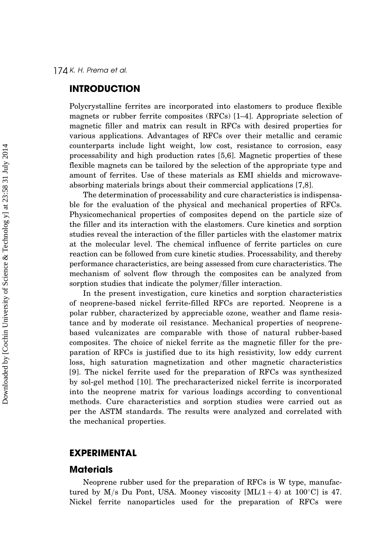#### **INTRODUCTION**

Polycrystalline ferrites are incorporated into elastomers to produce flexible magnets or rubber ferrite composites (RFCs) [1–4]. Appropriate selection of magnetic filler and matrix can result in RFCs with desired properties for various applications. Advantages of RFCs over their metallic and ceramic counterparts include light weight, low cost, resistance to corrosion, easy processability and high production rates [5,6]. Magnetic properties of these flexible magnets can be tailored by the selection of the appropriate type and amount of ferrites. Use of these materials as EMI shields and microwaveabsorbing materials brings about their commercial applications [7,8].

The determination of processability and cure characteristics is indispensable for the evaluation of the physical and mechanical properties of RFCs. Physicomechanical properties of composites depend on the particle size of the filler and its interaction with the elastomers. Cure kinetics and sorption studies reveal the interaction of the filler particles with the elastomer matrix at the molecular level. The chemical influence of ferrite particles on cure reaction can be followed from cure kinetic studies. Processability, and thereby performance characteristics, are being assessed from cure characteristics. The mechanism of solvent flow through the composites can be analyzed from sorption studies that indicate the polymer/filler interaction.

In the present investigation, cure kinetics and sorption characteristics of neoprene-based nickel ferrite-filled RFCs are reported. Neoprene is a polar rubber, characterized by appreciable ozone, weather and flame resistance and by moderate oil resistance. Mechanical properties of neoprenebased vulcanizates are comparable with those of natural rubber-based composites. The choice of nickel ferrite as the magnetic filler for the preparation of RFCs is justified due to its high resistivity, low eddy current loss, high saturation magnetization and other magnetic characteristics [9]. The nickel ferrite used for the preparation of RFCs was synthesized by sol-gel method [10]. The precharacterized nickel ferrite is incorporated into the neoprene matrix for various loadings according to conventional methods. Cure characteristics and sorption studies were carried out as per the ASTM standards. The results were analyzed and correlated with the mechanical properties.

#### EXPERIMENTAL

#### **Materials**

Neoprene rubber used for the preparation of RFCs is W type, manufactured by M/s Du Pont, USA. Mooney viscosity  $[ML(1+4)$  at 100°C] is 47. Nickel ferrite nanoparticles used for the preparation of RFCs were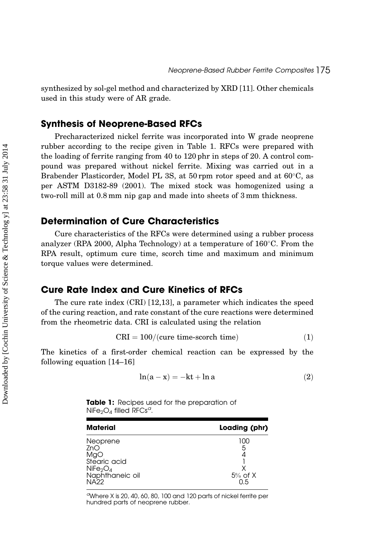synthesized by sol-gel method and characterized by XRD [11]. Other chemicals used in this study were of AR grade.

#### Synthesis of Neoprene-Based RFCs

Precharacterized nickel ferrite was incorporated into W grade neoprene rubber according to the recipe given in Table 1. RFCs were prepared with the loading of ferrite ranging from 40 to 120 phr in steps of 20. A control compound was prepared without nickel ferrite. Mixing was carried out in a Brabender Plasticorder, Model PL 3S, at 50 rpm rotor speed and at  $60^{\circ}$ C, as per ASTM D3182-89 (2001). The mixed stock was homogenized using a two-roll mill at 0.8 mm nip gap and made into sheets of 3 mm thickness.

#### Determination of Cure Characteristics

Cure characteristics of the RFCs were determined using a rubber process analyzer (RPA 2000, Alpha Technology) at a temperature of  $160^{\circ}$ C. From the RPA result, optimum cure time, scorch time and maximum and minimum torque values were determined.

#### Cure Rate Index and Cure Kinetics of RFCs

The cure rate index (CRI) [12,13], a parameter which indicates the speed of the curing reaction, and rate constant of the cure reactions were determined from the rheometric data. CRI is calculated using the relation

$$
CRI = 100/(cure time-scoreh time)
$$
 (1)

The kinetics of a first-order chemical reaction can be expressed by the following equation [14–16]

$$
\ln(a - x) = -kt + \ln a \tag{2}
$$

Table 1: Recipes used for the preparation of  $NiFe<sub>2</sub>O<sub>4</sub>$  filled RFCs<sup>a</sup>.

| <b>Material</b>                                                                                              | Loading (phr)                |
|--------------------------------------------------------------------------------------------------------------|------------------------------|
| Neoprene<br>ZnO<br>MgO<br>Stearic acid<br>NiFe <sub>2</sub> O <sub>4</sub><br>Naphthaneic oil<br><b>NA22</b> | 100<br>5<br>$5%$ of X<br>0.5 |

<sup>a</sup>Where X is 20, 40, 60, 80, 100 and 120 parts of nickel ferrite per hundred parts of neoprene rubber.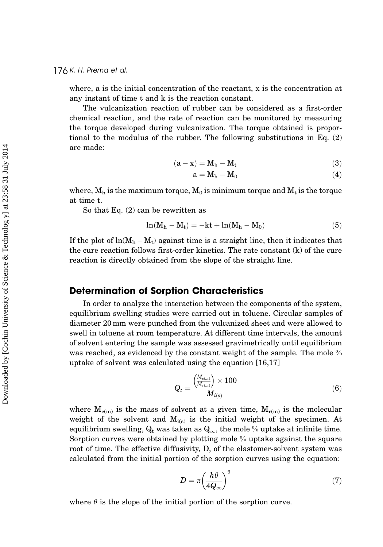where, a is the initial concentration of the reactant, x is the concentration at any instant of time t and k is the reaction constant.

The vulcanization reaction of rubber can be considered as a first-order chemical reaction, and the rate of reaction can be monitored by measuring the torque developed during vulcanization. The torque obtained is proportional to the modulus of the rubber. The following substitutions in Eq. (2) are made:

$$
(\mathbf{a} - \mathbf{x}) = \mathbf{M}_h - \mathbf{M}_t \tag{3}
$$

$$
a = M_h - M_0 \tag{4}
$$

where,  $M_h$  is the maximum torque,  $M_0$  is minimum torque and  $M_t$  is the torque at time t.

So that Eq. (2) can be rewritten as

$$
\ln(M_h - M_t) = -kt + \ln(M_h - M_0) \tag{5}
$$

If the plot of  $\ln(M_{\rm h}-M_{\rm t})$  against time is a straight line, then it indicates that the cure reaction follows first-order kinetics. The rate constant (k) of the cure reaction is directly obtained from the slope of the straight line.

#### Determination of Sorption Characteristics

In order to analyze the interaction between the components of the system, equilibrium swelling studies were carried out in toluene. Circular samples of diameter 20 mm were punched from the vulcanized sheet and were allowed to swell in toluene at room temperature. At different time intervals, the amount of solvent entering the sample was assessed gravimetrically until equilibrium was reached, as evidenced by the constant weight of the sample. The mole % uptake of solvent was calculated using the equation [16,17]

$$
Q_t = \frac{\left(\frac{M_{c(m)}}{M_{r(m)}}\right) \times 100}{M_{i(s)}}\tag{6}
$$

where  $M_{c(m)}$  is the mass of solvent at a given time,  $M_{r(m)}$  is the molecular weight of the solvent and  $M_{i(s)}$  is the initial weight of the specimen. At equilibrium swelling,  $Q_t$  was taken as  $Q_\infty$ , the mole % uptake at infinite time. Sorption curves were obtained by plotting mole % uptake against the square root of time. The effective diffusivity, D, of the elastomer-solvent system was calculated from the initial portion of the sorption curves using the equation:

$$
D = \pi \left(\frac{h\theta}{4Q_{\infty}}\right)^2 \tag{7}
$$

where  $\theta$  is the slope of the initial portion of the sorption curve.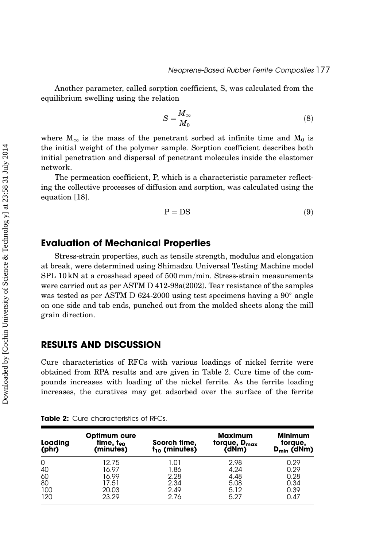Another parameter, called sorption coefficient, S, was calculated from the equilibrium swelling using the relation

$$
S = \frac{M_{\infty}}{M_0} \tag{8}
$$

where  $M_{\infty}$  is the mass of the penetrant sorbed at infinite time and  $M_0$  is the initial weight of the polymer sample. Sorption coefficient describes both initial penetration and dispersal of penetrant molecules inside the elastomer network.

The permeation coefficient, P, which is a characteristic parameter reflecting the collective processes of diffusion and sorption, was calculated using the equation [18].

$$
P = DS \tag{9}
$$

#### Evaluation of Mechanical Properties

Stress-strain properties, such as tensile strength, modulus and elongation at break, were determined using Shimadzu Universal Testing Machine model  $SPL 10 kN$  at a crosshead speed of  $500 \,\mathrm{mm/min}$ . Stress-strain measurements were carried out as per ASTM D 412-98a(2002). Tear resistance of the samples was tested as per ASTM D 624-2000 using test specimens having a  $90^{\circ}$  angle on one side and tab ends, punched out from the molded sheets along the mill grain direction.

#### RESULTS AND DISCUSSION

Cure characteristics of RFCs with various loadings of nickel ferrite were obtained from RPA results and are given in Table 2. Cure time of the compounds increases with loading of the nickel ferrite. As the ferrite loading increases, the curatives may get adsorbed over the surface of the ferrite

| Loading<br>(phr) | Optimum cure<br>$time, t_{90}$<br>(minutes) | Scorch time,<br>$t_{10}$ (minutes) | <b>Maximum</b><br>torque, $D_{max}$<br>(dNm) | <b>Minimum</b><br>torque,<br>$D_{\min}$ (dNm) |
|------------------|---------------------------------------------|------------------------------------|----------------------------------------------|-----------------------------------------------|
| 0                | 12.75                                       | 1.01                               | 2.98                                         | 0.29                                          |
| 40               | 16.97                                       | 1.86                               | 4.24                                         | 0.29                                          |
| 60               | 16.99                                       | 2.28                               | 4.48                                         | 0.28                                          |
| 80               | 17.51                                       | 2.34                               | 5.08                                         | 0.34                                          |
| 100              | 20.03                                       | 2.49                               | 5.12                                         | 0.39                                          |
| 120              | 23.29                                       | 2.76                               | 5.27                                         | 0.47                                          |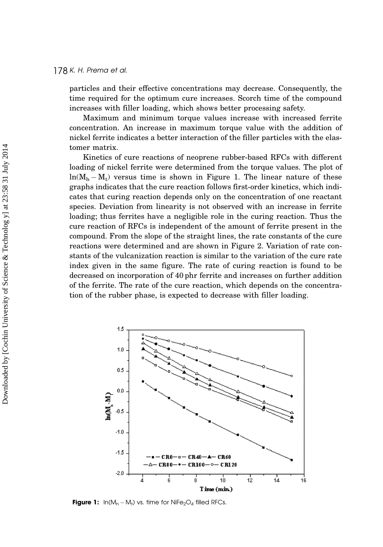#### 178 K. H. Prema et al.

particles and their effective concentrations may decrease. Consequently, the time required for the optimum cure increases. Scorch time of the compound increases with filler loading, which shows better processing safety.

Maximum and minimum torque values increase with increased ferrite concentration. An increase in maximum torque value with the addition of nickel ferrite indicates a better interaction of the filler particles with the elastomer matrix.

Kinetics of cure reactions of neoprene rubber-based RFCs with different loading of nickel ferrite were determined from the torque values. The plot of  $ln(M_h - M_t)$  versus time is shown in Figure 1. The linear nature of these graphs indicates that the cure reaction follows first-order kinetics, which indicates that curing reaction depends only on the concentration of one reactant species. Deviation from linearity is not observed with an increase in ferrite loading; thus ferrites have a negligible role in the curing reaction. Thus the cure reaction of RFCs is independent of the amount of ferrite present in the compound. From the slope of the straight lines, the rate constants of the cure reactions were determined and are shown in Figure 2. Variation of rate constants of the vulcanization reaction is similar to the variation of the cure rate index given in the same figure. The rate of curing reaction is found to be decreased on incorporation of 40 phr ferrite and increases on further addition of the ferrite. The rate of the cure reaction, which depends on the concentration of the rubber phase, is expected to decrease with filler loading.



**Figure 1:**  $\ln(M_h - M_t)$  vs. time for NiFe<sub>2</sub>O<sub>4</sub> filled RFCs.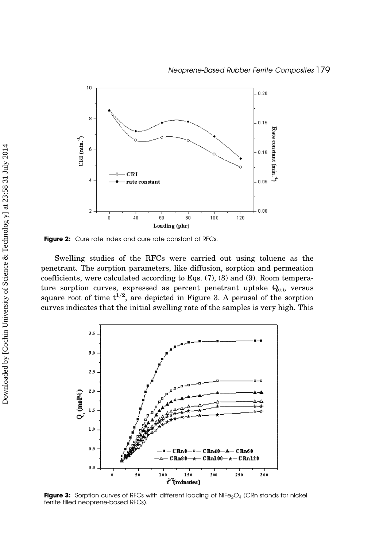

Figure 2: Cure rate index and cure rate constant of RFCs.

Swelling studies of the RFCs were carried out using toluene as the penetrant. The sorption parameters, like diffusion, sorption and permeation coefficients, were calculated according to Eqs. (7), (8) and (9). Room temperature sorption curves, expressed as percent penetrant uptake  $Q_{(t)}$ , versus square root of time  $t^{1/2}$ , are depicted in Figure 3. A perusal of the sorption curves indicates that the initial swelling rate of the samples is very high. This



Figure 3: Sorption curves of RFCs with different loading of NiFe<sub>2</sub>O<sub>4</sub> (CRn stands for nickel ferrite filled neoprene-based RFCs).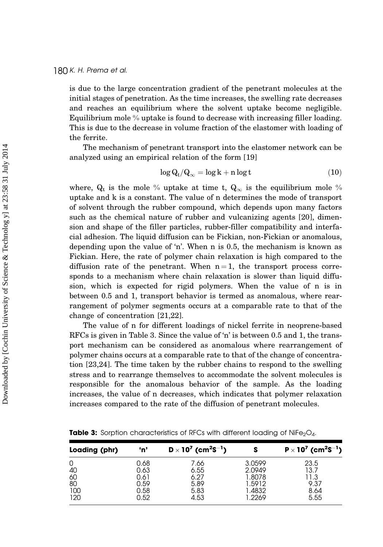is due to the large concentration gradient of the penetrant molecules at the initial stages of penetration. As the time increases, the swelling rate decreases and reaches an equilibrium where the solvent uptake become negligible. Equilibrium mole % uptake is found to decrease with increasing filler loading. This is due to the decrease in volume fraction of the elastomer with loading of the ferrite.

The mechanism of penetrant transport into the elastomer network can be analyzed using an empirical relation of the form [19]

$$
\log Q_t/Q_\infty = \log k + n \log t \tag{10}
$$

where,  $Q_t$  is the mole % uptake at time t,  $Q_{\infty}$  is the equilibrium mole % uptake and k is a constant. The value of n determines the mode of transport of solvent through the rubber compound, which depends upon many factors such as the chemical nature of rubber and vulcanizing agents [20], dimension and shape of the filler particles, rubber-filler compatibility and interfacial adhesion. The liquid diffusion can be Fickian, non-Fickian or anomalous, depending upon the value of 'n'. When n is 0.5, the mechanism is known as Fickian. Here, the rate of polymer chain relaxation is high compared to the diffusion rate of the penetrant. When  $n = 1$ , the transport process corresponds to a mechanism where chain relaxation is slower than liquid diffusion, which is expected for rigid polymers. When the value of n is in between 0.5 and 1, transport behavior is termed as anomalous, where rearrangement of polymer segments occurs at a comparable rate to that of the change of concentration [21,22].

The value of n for different loadings of nickel ferrite in neoprene-based RFCs is given in Table 3. Since the value of 'n' is between 0.5 and 1, the transport mechanism can be considered as anomalous where rearrangement of polymer chains occurs at a comparable rate to that of the change of concentration [23,24]. The time taken by the rubber chains to respond to the swelling stress and to rearrange themselves to accommodate the solvent molecules is responsible for the anomalous behavior of the sample. As the loading increases, the value of n decreases, which indicates that polymer relaxation increases compared to the rate of the diffusion of penetrant molecules.

| Loading (phr) | 'n'  | $D \times 10^7$ (cm <sup>2</sup> S <sup>-1</sup> ) |        | $P \times 10^{7}$ (cm <sup>2</sup> S <sup>-1</sup> ) |
|---------------|------|----------------------------------------------------|--------|------------------------------------------------------|
| 0             | 0.68 | 7.66                                               | 3.0599 | 23.5                                                 |
| 40            | 0.63 | 6.55                                               | 2.0949 | 13.7                                                 |
| 60            | 0.61 | 6.27                                               | 1.8078 | 11.3                                                 |
| 80            | 0.59 | 5.89                                               | 1.5912 | 9.37                                                 |
| 100           | 0.58 | 5.83                                               | 1.4832 | 8.64                                                 |
| 120           | 0.52 | 4.53                                               | 1.2269 | 5.55                                                 |

Table 3: Sorption characteristics of RFCs with different loading of NiFe<sub>2</sub>O<sub>4</sub>.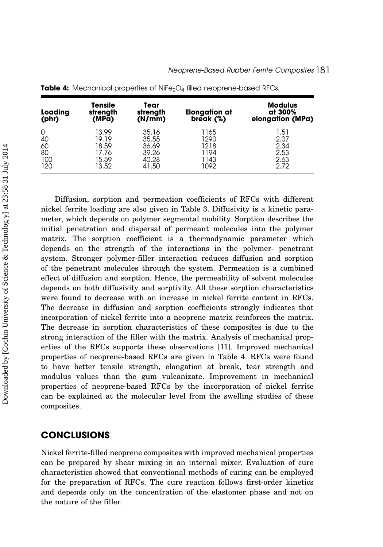| Loading<br>(phr) | <b>Tensile</b><br>strength<br>(MPā) | Tear<br>strength<br>(N/mm) | Elongation at<br>break (%) | <b>Modulus</b><br>at 300%<br>elongation (MPa) |
|------------------|-------------------------------------|----------------------------|----------------------------|-----------------------------------------------|
| 0                | 13.99                               | 35.16                      | 1165                       | 1.51                                          |
| 40               | 19.19                               | 35.55                      | 1290                       | 2.07                                          |
| 60               | 18.59                               | 36.69                      | 1218                       | 2.34                                          |
| 80               | 17.76                               | 39.26                      | 1194                       | 2.53                                          |
| 100              | 15.59                               | 40.28                      | 1143                       | 2.63                                          |
| 120              | 13.52                               | 41.50                      | 1092                       | 2.72                                          |

Table 4: Mechanical properties of NiFe<sub>2</sub>O<sub>4</sub> filled neoprene-based RFCs.

Diffusion, sorption and permeation coefficients of RFCs with different nickel ferrite loading are also given in Table 3. Diffusivity is a kinetic parameter, which depends on polymer segmental mobility. Sorption describes the initial penetration and dispersal of permeant molecules into the polymer matrix. The sorption coefficient is a thermodynamic parameter which depends on the strength of the interactions in the polymer- penetrant system. Stronger polymer-filler interaction reduces diffusion and sorption of the penetrant molecules through the system. Permeation is a combined effect of diffusion and sorption. Hence, the permeability of solvent molecules depends on both diffusivity and sorptivity. All these sorption characteristics were found to decrease with an increase in nickel ferrite content in RFCs. The decrease in diffusion and sorption coefficients strongly indicates that incorporation of nickel ferrite into a neoprene matrix reinforces the matrix. The decrease in sorption characteristics of these composites is due to the strong interaction of the filler with the matrix. Analysis of mechanical properties of the RFCs supports these observations [11]. Improved mechanical properties of neoprene-based RFCs are given in Table 4. RFCs were found to have better tensile strength, elongation at break, tear strength and modulus values than the gum vulcanizate. Improvement in mechanical properties of neoprene-based RFCs by the incorporation of nickel ferrite can be explained at the molecular level from the swelling studies of these composites.

#### **CONCLUSIONS**

Nickel ferrite-filled neoprene composites with improved mechanical properties can be prepared by shear mixing in an internal mixer. Evaluation of cure characteristics showed that conventional methods of curing can be employed for the preparation of RFCs. The cure reaction follows first-order kinetics and depends only on the concentration of the elastomer phase and not on the nature of the filler.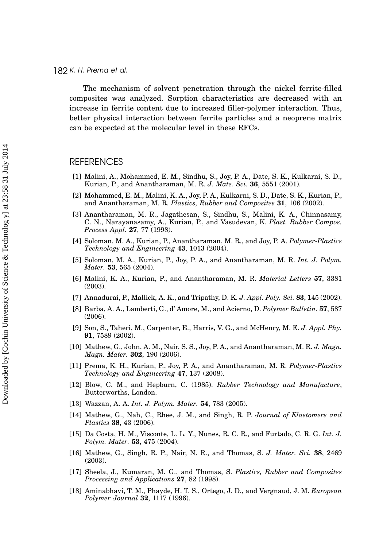The mechanism of solvent penetration through the nickel ferrite-filled composites was analyzed. Sorption characteristics are decreased with an increase in ferrite content due to increased filler-polymer interaction. Thus, better physical interaction between ferrite particles and a neoprene matrix can be expected at the molecular level in these RFCs.

#### **REFERENCES**

- [1] Malini, A., Mohammed, E. M., Sindhu, S., Joy, P. A., Date, S. K., Kulkarni, S. D., Kurian, P., and Anantharaman, M. R. J. Mate. Sci. 36, 5551 (2001).
- [2] Mohammed, E. M., Malini, K. A., Joy, P. A., Kulkarni, S. D., Date, S. K., Kurian, P., and Anantharaman, M. R. Plastics, Rubber and Composites 31, 106 (2002).
- [3] Anantharaman, M. R., Jagathesan, S., Sindhu, S., Malini, K. A., Chinnasamy, C. N., Narayanasamy, A., Kurian, P., and Vasudevan, K. Plast. Rubber Compos. Process Appl. 27, 77 (1998).
- [4] Soloman, M. A., Kurian, P., Anantharaman, M. R., and Joy, P. A. Polymer-Plastics Technology and Engineering 43, 1013 (2004).
- [5] Soloman, M. A., Kurian, P., Joy, P. A., and Anantharaman, M. R. Int. J. Polym. Mater. 53, 565 (2004).
- [6] Malini, K. A., Kurian, P., and Anantharaman, M. R. Material Letters 57, 3381 (2003).
- [7] Annadurai, P., Mallick, A. K., and Tripathy, D. K. J. Appl. Poly. Sci. 83, 145 (2002).
- [8] Barba, A. A., Lamberti, G., d' Amore, M., and Acierno, D. Polymer Bulletin. 57, 587 (2006).
- [9] Son, S., Taheri, M., Carpenter, E., Harris, V. G., and McHenry, M. E. J. Appl. Phy. 91, 7589 (2002).
- [10] Mathew, G., John, A. M., Nair, S. S., Joy, P. A., and Anantharaman, M. R. J. Magn. Magn. Mater. 302, 190 (2006).
- [11] Prema, K. H., Kurian, P., Joy, P. A., and Anantharaman, M. R. Polymer-Plastics Technology and Engineering 47, 137 (2008).
- [12] Blow, C. M., and Hepburn, C. (1985). Rubber Technology and Manufacture, Butterworths, London.
- [13] Wazzan, A. A. Int. J. Polym. Mater. **54**, 783 (2005).
- [14] Mathew, G., Nah, C., Rhee, J. M., and Singh, R. P. Journal of Elastomers and Plastics 38, 43 (2006).
- [15] Da Costa, H. M., Visconte, L. L. Y., Nunes, R. C. R., and Furtado, C. R. G. Int. J. Polym. Mater. 53, 475 (2004).
- [16] Mathew, G., Singh, R. P., Nair, N. R., and Thomas, S. J. Mater. Sci. 38, 2469 (2003).
- [17] Sheela, J., Kumaran, M. G., and Thomas, S. Plastics, Rubber and Composites Processing and Applications 27, 82 (1998).
- [18] Aminabhavi, T. M., Phayde, H. T. S., Ortego, J. D., and Vergnaud, J. M. European Polymer Journal 32, 1117 (1996).